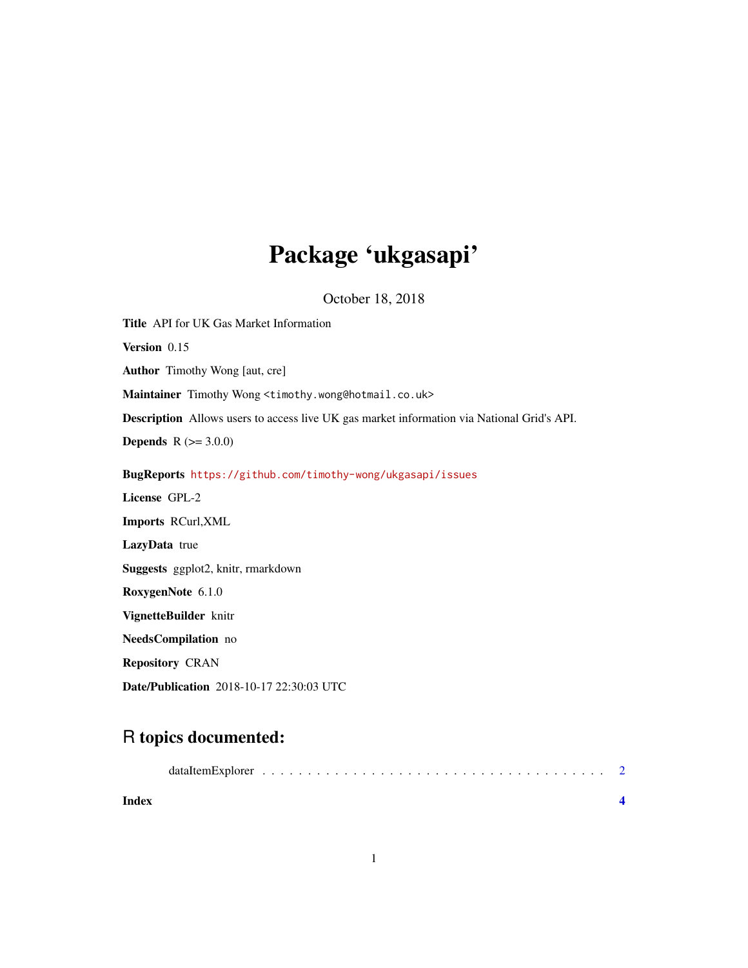## Package 'ukgasapi'

October 18, 2018

Title API for UK Gas Market Information Version 0.15 Author Timothy Wong [aut, cre] Maintainer Timothy Wong <timothy.wong@hotmail.co.uk> Description Allows users to access live UK gas market information via National Grid's API. **Depends**  $R (= 3.0.0)$ BugReports <https://github.com/timothy-wong/ukgasapi/issues> License GPL-2 Imports RCurl,XML LazyData true Suggests ggplot2, knitr, rmarkdown RoxygenNote 6.1.0 VignetteBuilder knitr NeedsCompilation no Repository CRAN Date/Publication 2018-10-17 22:30:03 UTC

### R topics documented:

| Index |  |  |  |  |  |  |  |  |  |  |  |  |  |  |
|-------|--|--|--|--|--|--|--|--|--|--|--|--|--|--|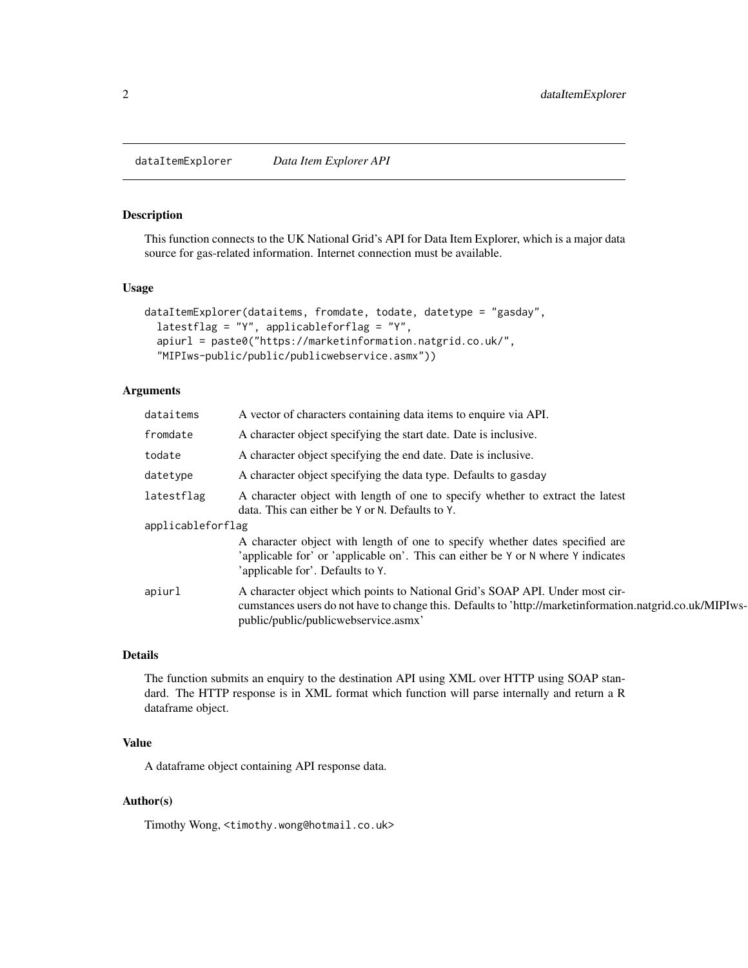<span id="page-1-0"></span>dataItemExplorer *Data Item Explorer API*

#### Description

This function connects to the UK National Grid's API for Data Item Explorer, which is a major data source for gas-related information. Internet connection must be available.

#### Usage

```
dataItemExplorer(dataitems, fromdate, todate, datetype = "gasday",
  latestflag = "Y", applicableforflag = "Y",
  apiurl = paste0("https://marketinformation.natgrid.co.uk/",
  "MIPIws-public/public/publicwebservice.asmx"))
```
#### Arguments

| dataitems         | A vector of characters containing data items to enquire via API.                                                                                                                                                                 |
|-------------------|----------------------------------------------------------------------------------------------------------------------------------------------------------------------------------------------------------------------------------|
| fromdate          | A character object specifying the start date. Date is inclusive.                                                                                                                                                                 |
| todate            | A character object specifying the end date. Date is inclusive.                                                                                                                                                                   |
| datetype          | A character object specifying the data type. Defaults to gasday                                                                                                                                                                  |
| latestflag        | A character object with length of one to specify whether to extract the latest<br>data. This can either be Y or N. Defaults to Y.                                                                                                |
| applicableforflag |                                                                                                                                                                                                                                  |
|                   | A character object with length of one to specify whether dates specified are                                                                                                                                                     |
|                   | 'applicable for' or 'applicable on'. This can either be Y or N where Y indicates<br>'applicable for'. Defaults to Y.                                                                                                             |
| apiurl            | A character object which points to National Grid's SOAP API. Under most cir-<br>cumstances users do not have to change this. Defaults to 'http://marketinformation.natgrid.co.uk/MIPIws-<br>public/public/publicwebservice.asmx' |

#### Details

The function submits an enquiry to the destination API using XML over HTTP using SOAP standard. The HTTP response is in XML format which function will parse internally and return a R dataframe object.

#### Value

A dataframe object containing API response data.

#### Author(s)

Timothy Wong, <timothy.wong@hotmail.co.uk>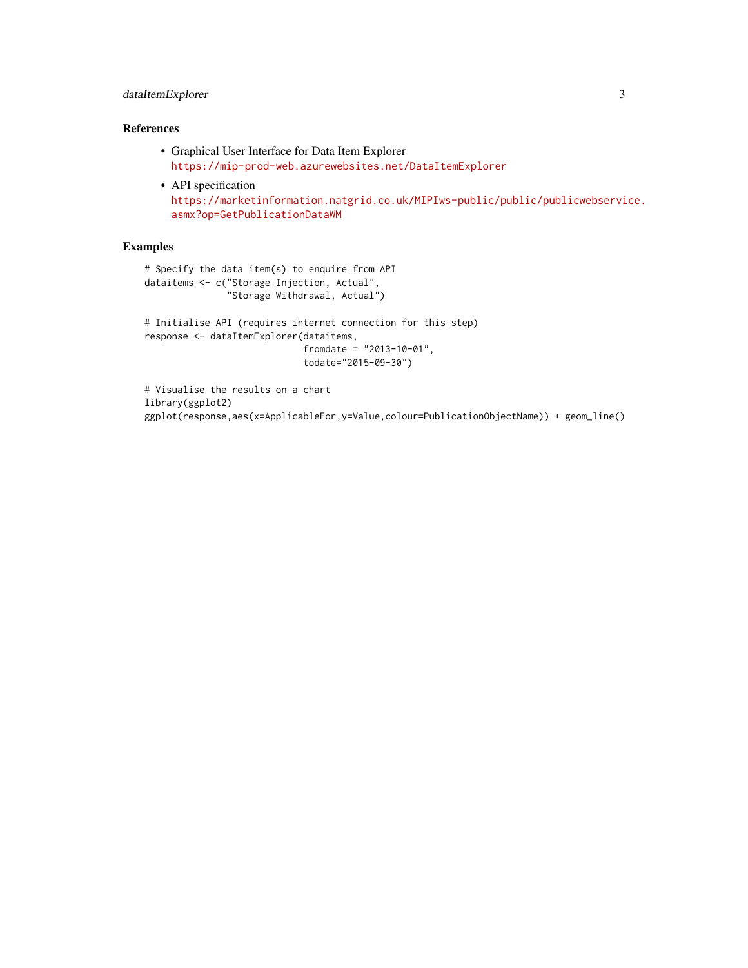#### dataItemExplorer 3

#### References

- Graphical User Interface for Data Item Explorer <https://mip-prod-web.azurewebsites.net/DataItemExplorer>
- API specification [https://marketinformation.natgrid.co.uk/MIPIws-public/public/publicwebservi](https://marketinformation.natgrid.co.uk/MIPIws-public/public/publicwebservice.asmx?op=GetPublicationDataWM)ce. [asmx?op=GetPublicationDataWM](https://marketinformation.natgrid.co.uk/MIPIws-public/public/publicwebservice.asmx?op=GetPublicationDataWM)

#### Examples

```
# Specify the data item(s) to enquire from API
dataitems <- c("Storage Injection, Actual",
              "Storage Withdrawal, Actual")
```

```
# Initialise API (requires internet connection for this step)
response <- dataItemExplorer(dataitems,
                            fromdate = "2013-10-01",
                            todate="2015-09-30")
```

```
# Visualise the results on a chart
library(ggplot2)
ggplot(response,aes(x=ApplicableFor,y=Value,colour=PublicationObjectName)) + geom_line()
```